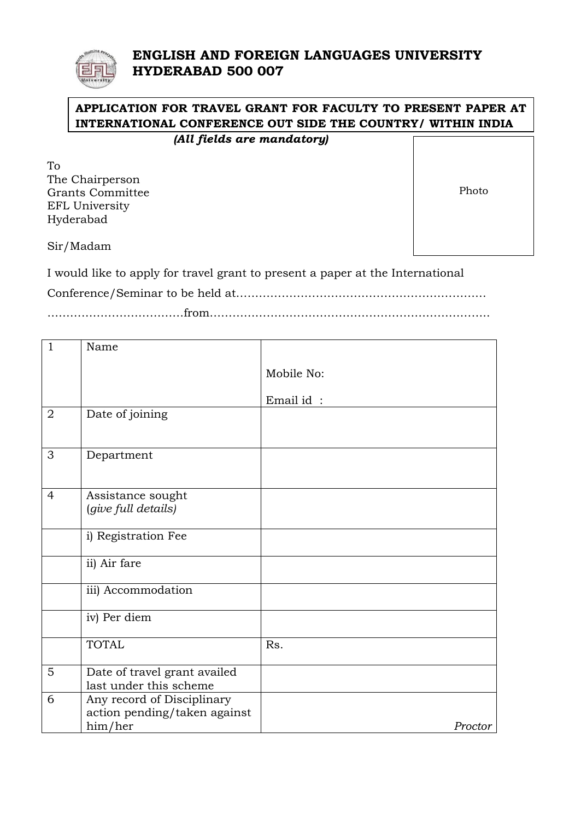## **ENGLISH AND FOREIGN LANGUAGES UNIVERSITY HYDERABAD 500 007**

# **APPLICATION FOR TRAVEL GRANT FOR FACULTY TO PRESENT PAPER AT INTERNATIONAL CONFERENCE OUT SIDE THE COUNTRY/ WITHIN INDIA**

|  |  | (All fields are mandatory) |
|--|--|----------------------------|
|--|--|----------------------------|

| To                      |       |
|-------------------------|-------|
| The Chairperson         |       |
| <b>Grants Committee</b> | Photo |
| EFL University          |       |
| Hyderabad               |       |
| Sir/Madam               |       |
|                         |       |

I would like to apply for travel grant to present a paper at the International

Conference/Seminar to be held at…………………………………………………………

………………………………from………………………………………………………………..

| $\mathbf{1}$   | Name                                                                  |            |
|----------------|-----------------------------------------------------------------------|------------|
|                |                                                                       | Mobile No: |
|                |                                                                       | Email id:  |
| $\overline{2}$ | Date of joining                                                       |            |
| 3              | Department                                                            |            |
| $\overline{4}$ | Assistance sought<br>(give full details)                              |            |
|                | i) Registration Fee                                                   |            |
|                | ii) Air fare                                                          |            |
|                | iii) Accommodation                                                    |            |
|                | iv) Per diem                                                          |            |
|                | <b>TOTAL</b>                                                          | Rs.        |
| $\overline{5}$ | Date of travel grant availed<br>last under this scheme                |            |
| 6              | Any record of Disciplinary<br>action pending/taken against<br>him/her | Proctor    |